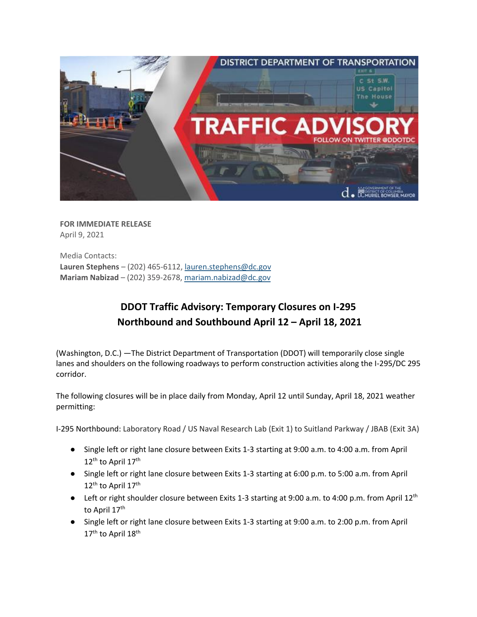

**FOR IMMEDIATE RELEASE** April 9, 2021

Media Contacts: **Lauren Stephens** – (202) 465-6112, [lauren.stephens@dc.gov](mailto:lauren.stephens@dc.gov) **Mariam Nabizad** – (202) 359-2678, [mariam.nabizad@dc.gov](mailto:mariam.nabizad@dc.gov)

## **DDOT Traffic Advisory: Temporary Closures on I-295 Northbound and Southbound April 12 – April 18, 2021**

(Washington, D.C.) —The District Department of Transportation (DDOT) will temporarily close single lanes and shoulders on the following roadways to perform construction activities along the I-295/DC 295 corridor.

The following closures will be in place daily from Monday, April 12 until Sunday, April 18, 2021 weather permitting:

I-295 Northbound: Laboratory Road / US Naval Research Lab (Exit 1) to Suitland Parkway / JBAB (Exit 3A)

- Single left or right lane closure between Exits 1-3 starting at 9:00 a.m. to 4:00 a.m. from April  $12^{\text{th}}$  to April  $17^{\text{th}}$
- Single left or right lane closure between Exits 1-3 starting at 6:00 p.m. to 5:00 a.m. from April 12<sup>th</sup> to April 17<sup>th</sup>
- $\bullet$  Left or right shoulder closure between Exits 1-3 starting at 9:00 a.m. to 4:00 p.m. from April 12<sup>th</sup> to April 17<sup>th</sup>
- Single left or right lane closure between Exits 1-3 starting at 9:00 a.m. to 2:00 p.m. from April  $17^{\text{th}}$  to April  $18^{\text{th}}$